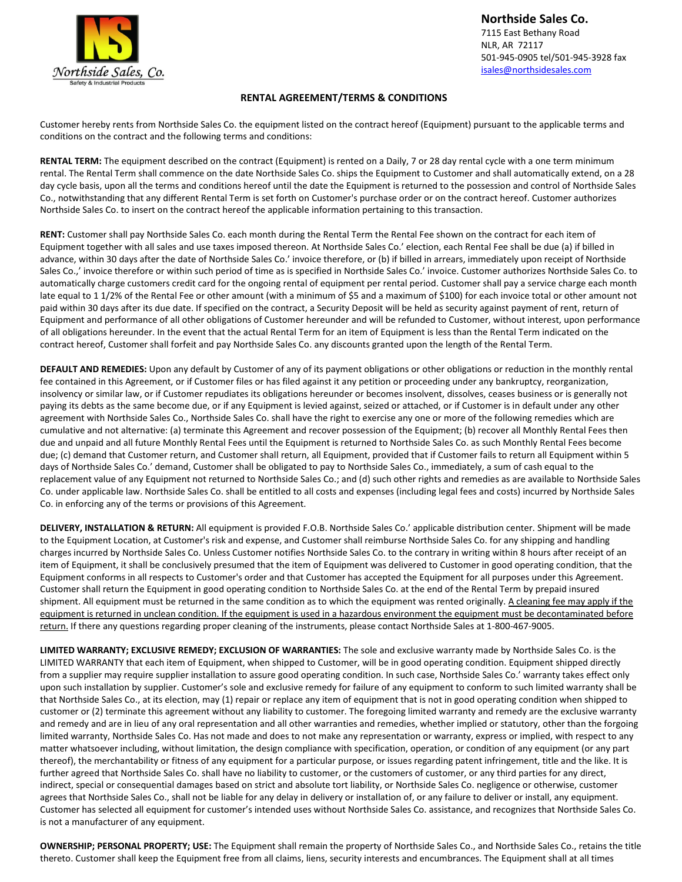

**Northside Sales Co.** 7115 East Bethany Road NLR, AR 72117 501-945-0905 tel/501-945-3928 fax [isales@northsidesales.com](mailto:isales@northsidesales.com)

## **RENTAL AGREEMENT/TERMS & CONDITIONS**

Customer hereby rents from Northside Sales Co. the equipment listed on the contract hereof (Equipment) pursuant to the applicable terms and conditions on the contract and the following terms and conditions:

**RENTAL TERM:** The equipment described on the contract (Equipment) is rented on a Daily, 7 or 28 day rental cycle with a one term minimum rental. The Rental Term shall commence on the date Northside Sales Co. ships the Equipment to Customer and shall automatically extend, on a 28 day cycle basis, upon all the terms and conditions hereof until the date the Equipment is returned to the possession and control of Northside Sales Co., notwithstanding that any different Rental Term is set forth on Customer's purchase order or on the contract hereof. Customer authorizes Northside Sales Co. to insert on the contract hereof the applicable information pertaining to this transaction.

**RENT:** Customer shall pay Northside Sales Co. each month during the Rental Term the Rental Fee shown on the contract for each item of Equipment together with all sales and use taxes imposed thereon. At Northside Sales Co.' election, each Rental Fee shall be due (a) if billed in advance, within 30 days after the date of Northside Sales Co.' invoice therefore, or (b) if billed in arrears, immediately upon receipt of Northside Sales Co.,' invoice therefore or within such period of time as is specified in Northside Sales Co.' invoice. Customer authorizes Northside Sales Co. to automatically charge customers credit card for the ongoing rental of equipment per rental period. Customer shall pay a service charge each month late equal to 1 1/2% of the Rental Fee or other amount (with a minimum of \$5 and a maximum of \$100) for each invoice total or other amount not paid within 30 days after its due date. If specified on the contract, a Security Deposit will be held as security against payment of rent, return of Equipment and performance of all other obligations of Customer hereunder and will be refunded to Customer, without interest, upon performance of all obligations hereunder. In the event that the actual Rental Term for an item of Equipment is less than the Rental Term indicated on the contract hereof, Customer shall forfeit and pay Northside Sales Co. any discounts granted upon the length of the Rental Term.

**DEFAULT AND REMEDIES:** Upon any default by Customer of any of its payment obligations or other obligations or reduction in the monthly rental fee contained in this Agreement, or if Customer files or has filed against it any petition or proceeding under any bankruptcy, reorganization, insolvency or similar law, or if Customer repudiates its obligations hereunder or becomes insolvent, dissolves, ceases business or is generally not paying its debts as the same become due, or if any Equipment is levied against, seized or attached, or if Customer is in default under any other agreement with Northside Sales Co., Northside Sales Co. shall have the right to exercise any one or more of the following remedies which are cumulative and not alternative: (a) terminate this Agreement and recover possession of the Equipment; (b) recover all Monthly Rental Fees then due and unpaid and all future Monthly Rental Fees until the Equipment is returned to Northside Sales Co. as such Monthly Rental Fees become due; (c) demand that Customer return, and Customer shall return, all Equipment, provided that if Customer fails to return all Equipment within 5 days of Northside Sales Co.' demand, Customer shall be obligated to pay to Northside Sales Co., immediately, a sum of cash equal to the replacement value of any Equipment not returned to Northside Sales Co.; and (d) such other rights and remedies as are available to Northside Sales Co. under applicable law. Northside Sales Co. shall be entitled to all costs and expenses (including legal fees and costs) incurred by Northside Sales Co. in enforcing any of the terms or provisions of this Agreement.

**DELIVERY, INSTALLATION & RETURN:** All equipment is provided F.O.B. Northside Sales Co.' applicable distribution center. Shipment will be made to the Equipment Location, at Customer's risk and expense, and Customer shall reimburse Northside Sales Co. for any shipping and handling charges incurred by Northside Sales Co. Unless Customer notifies Northside Sales Co. to the contrary in writing within 8 hours after receipt of an item of Equipment, it shall be conclusively presumed that the item of Equipment was delivered to Customer in good operating condition, that the Equipment conforms in all respects to Customer's order and that Customer has accepted the Equipment for all purposes under this Agreement. Customer shall return the Equipment in good operating condition to Northside Sales Co. at the end of the Rental Term by prepaid insured shipment. All equipment must be returned in the same condition as to which the equipment was rented originally. A cleaning fee may apply if the equipment is returned in unclean condition. If the equipment is used in a hazardous environment the equipment must be decontaminated before return. If there any questions regarding proper cleaning of the instruments, please contact Northside Sales at 1-800-467-9005.

**LIMITED WARRANTY; EXCLUSIVE REMEDY; EXCLUSION OF WARRANTIES:** The sole and exclusive warranty made by Northside Sales Co. is the LIMITED WARRANTY that each item of Equipment, when shipped to Customer, will be in good operating condition. Equipment shipped directly from a supplier may require supplier installation to assure good operating condition. In such case, Northside Sales Co.' warranty takes effect only upon such installation by supplier. Customer's sole and exclusive remedy for failure of any equipment to conform to such limited warranty shall be that Northside Sales Co., at its election, may (1) repair or replace any item of equipment that is not in good operating condition when shipped to customer or (2) terminate this agreement without any liability to customer. The foregoing limited warranty and remedy are the exclusive warranty and remedy and are in lieu of any oral representation and all other warranties and remedies, whether implied or statutory, other than the forgoing limited warranty, Northside Sales Co. Has not made and does to not make any representation or warranty, express or implied, with respect to any matter whatsoever including, without limitation, the design compliance with specification, operation, or condition of any equipment (or any part thereof), the merchantability or fitness of any equipment for a particular purpose, or issues regarding patent infringement, title and the like. It is further agreed that Northside Sales Co. shall have no liability to customer, or the customers of customer, or any third parties for any direct, indirect, special or consequential damages based on strict and absolute tort liability, or Northside Sales Co. negligence or otherwise, customer agrees that Northside Sales Co., shall not be liable for any delay in delivery or installation of, or any failure to deliver or install, any equipment. Customer has selected all equipment for customer's intended uses without Northside Sales Co. assistance, and recognizes that Northside Sales Co. is not a manufacturer of any equipment.

**OWNERSHIP; PERSONAL PROPERTY; USE:** The Equipment shall remain the property of Northside Sales Co., and Northside Sales Co., retains the title thereto. Customer shall keep the Equipment free from all claims, liens, security interests and encumbrances. The Equipment shall at all times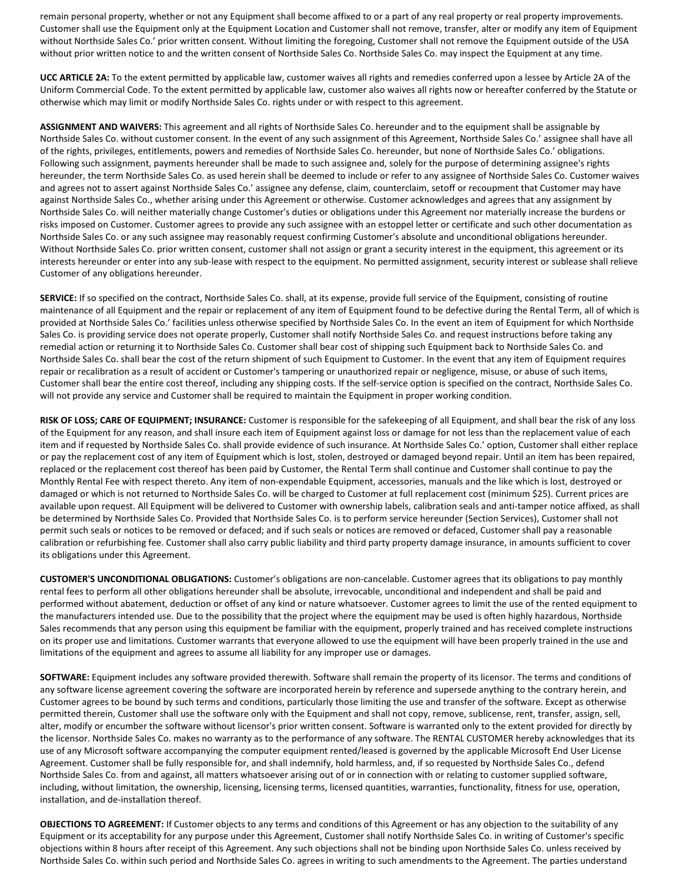remain personal property, whether or not any Equipment shall become affixed to or a part of any real property or real property improvements. Customer shall use the Equipment only at the Equipment Location and Customer shall not remove, transfer, alter or modify any item of Equipment without Northside Sales Co.' prior written consent. Without limiting the foregoing, Customer shall not remove the Equipment outside of the USA without prior written notice to and the written consent of Northside Sales Co. Northside Sales Co. may inspect the Equipment at any time.

**UCC ARTICLE 2A:** To the extent permitted by applicable law, customer waives all rights and remedies conferred upon a lessee by Article 2A of the Uniform Commercial Code. To the extent permitted by applicable law, customer also waives all rights now or hereafter conferred by the Statute or otherwise which may limit or modify Northside Sales Co. rights under or with respect to this agreement.

**ASSIGNMENT AND WAIVERS:** This agreement and all rights of Northside Sales Co. hereunder and to the equipment shall be assignable by Northside Sales Co. without customer consent. In the event of any such assignment of this Agreement, Northside Sales Co.' assignee shall have all of the rights, privileges, entitlements, powers and remedies of Northside Sales Co. hereunder, but none of Northside Sales Co.' obligations. Following such assignment, payments hereunder shall be made to such assignee and, solely for the purpose of determining assignee's rights hereunder, the term Northside Sales Co. as used herein shall be deemed to include or refer to any assignee of Northside Sales Co. Customer waives and agrees not to assert against Northside Sales Co.' assignee any defense, claim, counterclaim, setoff or recoupment that Customer may have against Northside Sales Co., whether arising under this Agreement or otherwise. Customer acknowledges and agrees that any assignment by Northside Sales Co. will neither materially change Customer's duties or obligations under this Agreement nor materially increase the burdens or risks imposed on Customer. Customer agrees to provide any such assignee with an estoppel letter or certificate and such other documentation as Northside Sales Co. or any such assignee may reasonably request confirming Customer's absolute and unconditional obligations hereunder. Without Northside Sales Co. prior written consent, customer shall not assign or grant a security interest in the equipment, this agreement or its interests hereunder or enter into any sub-lease with respect to the equipment. No permitted assignment, security interest or sublease shall relieve Customer of any obligations hereunder.

**SERVICE:** If so specified on the contract, Northside Sales Co. shall, at its expense, provide full service of the Equipment, consisting of routine maintenance of all Equipment and the repair or replacement of any item of Equipment found to be defective during the Rental Term, all of which is provided at Northside Sales Co.' facilities unless otherwise specified by Northside Sales Co. In the event an item of Equipment for which Northside Sales Co. is providing service does not operate properly, Customer shall notify Northside Sales Co. and request instructions before taking any remedial action or returning it to Northside Sales Co. Customer shall bear cost of shipping such Equipment back to Northside Sales Co. and Northside Sales Co. shall bear the cost of the return shipment of such Equipment to Customer. In the event that any item of Equipment requires repair or recalibration as a result of accident or Customer's tampering or unauthorized repair or negligence, misuse, or abuse of such items, Customer shall bear the entire cost thereof, including any shipping costs. If the self-service option is specified on the contract, Northside Sales Co. will not provide any service and Customer shall be required to maintain the Equipment in proper working condition.

**RISK OF LOSS; CARE OF EQUIPMENT; INSURANCE:** Customer is responsible for the safekeeping of all Equipment, and shall bear the risk of any loss of the Equipment for any reason, and shall insure each item of Equipment against loss or damage for not less than the replacement value of each item and if requested by Northside Sales Co. shall provide evidence of such insurance. At Northside Sales Co.' option, Customer shall either replace or pay the replacement cost of any item of Equipment which is lost, stolen, destroyed or damaged beyond repair. Until an item has been repaired, replaced or the replacement cost thereof has been paid by Customer, the Rental Term shall continue and Customer shall continue to pay the Monthly Rental Fee with respect thereto. Any item of non-expendable Equipment, accessories, manuals and the like which is lost, destroyed or damaged or which is not returned to Northside Sales Co. will be charged to Customer at full replacement cost (minimum \$25). Current prices are available upon request. All Equipment will be delivered to Customer with ownership labels, calibration seals and anti-tamper notice affixed, as shall be determined by Northside Sales Co. Provided that Northside Sales Co. is to perform service hereunder (Section Services), Customer shall not permit such seals or notices to be removed or defaced; and if such seals or notices are removed or defaced, Customer shall pay a reasonable calibration or refurbishing fee. Customer shall also carry public liability and third party property damage insurance, in amounts sufficient to cover its obligations under this Agreement.

**CUSTOMER'S UNCONDITIONAL OBLIGATIONS:** Customer's obligations are non-cancelable. Customer agrees that its obligations to pay monthly rental fees to perform all other obligations hereunder shall be absolute, irrevocable, unconditional and independent and shall be paid and performed without abatement, deduction or offset of any kind or nature whatsoever. Customer agrees to limit the use of the rented equipment to the manufacturers intended use. Due to the possibility that the project where the equipment may be used is often highly hazardous, Northside Sales recommends that any person using this equipment be familiar with the equipment, properly trained and has received complete instructions on its proper use and limitations. Customer warrants that everyone allowed to use the equipment will have been properly trained in the use and limitations of the equipment and agrees to assume all liability for any improper use or damages.

**SOFTWARE:** Equipment includes any software provided therewith. Software shall remain the property of its licensor. The terms and conditions of any software license agreement covering the software are incorporated herein by reference and supersede anything to the contrary herein, and Customer agrees to be bound by such terms and conditions, particularly those limiting the use and transfer of the software. Except as otherwise permitted therein, Customer shall use the software only with the Equipment and shall not copy, remove, sublicense, rent, transfer, assign, sell, alter, modify or encumber the software without licensor's prior written consent. Software is warranted only to the extent provided for directly by the licensor. Northside Sales Co. makes no warranty as to the performance of any software. The RENTAL CUSTOMER hereby acknowledges that its use of any Microsoft software accompanying the computer equipment rented/leased is governed by the applicable Microsoft End User License Agreement. Customer shall be fully responsible for, and shall indemnify, hold harmless, and, if so requested by Northside Sales Co., defend Northside Sales Co. from and against, all matters whatsoever arising out of or in connection with or relating to customer supplied software, including, without limitation, the ownership, licensing, licensing terms, licensed quantities, warranties, functionality, fitness for use, operation, installation, and de-installation thereof.

**OBJECTIONS TO AGREEMENT:** If Customer objects to any terms and conditions of this Agreement or has any objection to the suitability of any Equipment or its acceptability for any purpose under this Agreement, Customer shall notify Northside Sales Co. in writing of Customer's specific objections within 8 hours after receipt of this Agreement. Any such objections shall not be binding upon Northside Sales Co. unless received by Northside Sales Co. within such period and Northside Sales Co. agrees in writing to such amendments to the Agreement. The parties understand